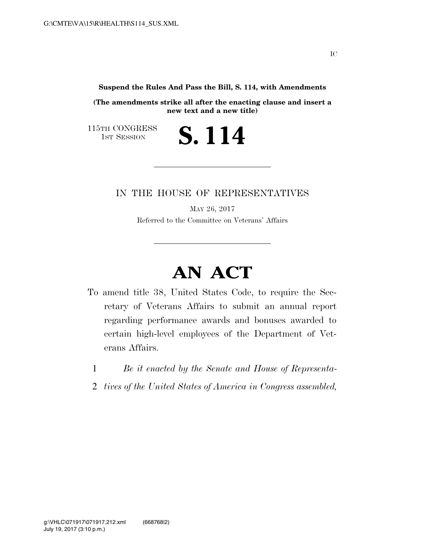**Suspend the Rules And Pass the Bill, S. 114, with Amendments** 

**(The amendments strike all after the enacting clause and insert a new text and a new title)** 

S. 114

115TH CONGRESS<br>1st Session

IN THE HOUSE OF REPRESENTATIVES

MAY 26, 2017 Referred to the Committee on Veterans' Affairs

## **AN ACT**

- To amend title 38, United States Code, to require the Secretary of Veterans Affairs to submit an annual report regarding performance awards and bonuses awarded to certain high-level employees of the Department of Veterans Affairs.
	- 1 *Be it enacted by the Senate and House of Representa-*
	- 2 *tives of the United States of America in Congress assembled,*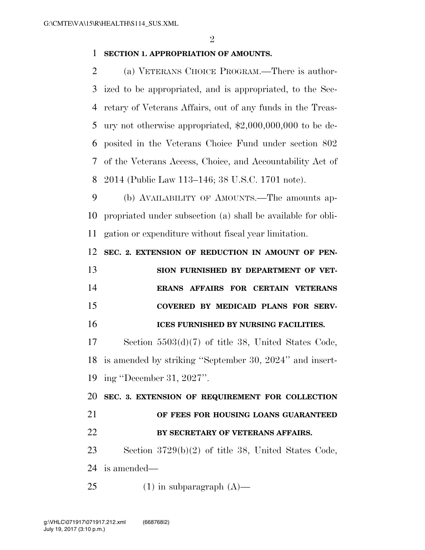## **SECTION 1. APPROPRIATION OF AMOUNTS.**

 (a) VETERANS CHOICE PROGRAM.—There is author- ized to be appropriated, and is appropriated, to the Sec- retary of Veterans Affairs, out of any funds in the Treas- ury not otherwise appropriated, \$2,000,000,000 to be de- posited in the Veterans Choice Fund under section 802 of the Veterans Access, Choice, and Accountability Act of 2014 (Public Law 113–146; 38 U.S.C. 1701 note).

 (b) AVAILABILITY OF AMOUNTS.—The amounts ap- propriated under subsection (a) shall be available for obli-gation or expenditure without fiscal year limitation.

**SEC. 2. EXTENSION OF REDUCTION IN AMOUNT OF PEN-**

 **SION FURNISHED BY DEPARTMENT OF VET- ERANS AFFAIRS FOR CERTAIN VETERANS COVERED BY MEDICAID PLANS FOR SERV-ICES FURNISHED BY NURSING FACILITIES.** 

 Section 5503(d)(7) of title 38, United States Code, is amended by striking ''September 30, 2024'' and insert-ing ''December 31, 2027''.

 **SEC. 3. EXTENSION OF REQUIREMENT FOR COLLECTION OF FEES FOR HOUSING LOANS GUARANTEED BY SECRETARY OF VETERANS AFFAIRS.**  Section 3729(b)(2) of title 38, United States Code,

is amended—

25 (1) in subparagraph  $(A)$ —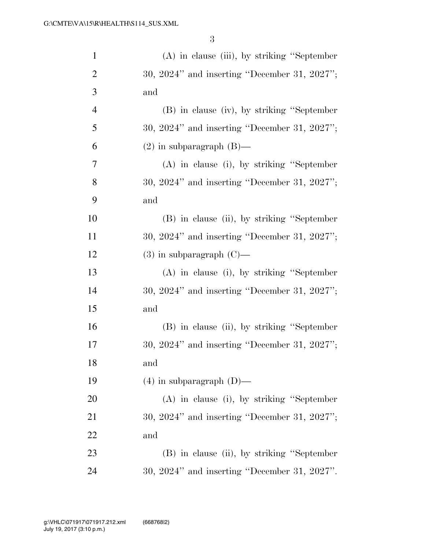| $\mathbf{1}$   | $(A)$ in clause (iii), by striking "September"    |
|----------------|---------------------------------------------------|
| $\overline{2}$ | $30, 2024"$ and inserting "December 31, 2027";    |
| 3              | and                                               |
| $\overline{4}$ | (B) in clause (iv), by striking "September        |
| 5              | $30, 2024"$ and inserting "December 31, $2027"$ ; |
| 6              | $(2)$ in subparagraph $(B)$ —                     |
| 7              | $(A)$ in clause (i), by striking "September"      |
| 8              | $30, 2024"$ and inserting "December 31, 2027";    |
| 9              | and                                               |
| 10             | (B) in clause (ii), by striking "September        |
| 11             | $30, 2024"$ and inserting "December 31, 2027";    |
| 12             | $(3)$ in subparagraph $(C)$ —                     |
| 13             | $(A)$ in clause (i), by striking "September"      |
| 14             | $30, 2024"$ and inserting "December 31, $2027"$ ; |
| 15             | and                                               |
| 16             | (B) in clause (ii), by striking "September        |
| 17             | $30, 2024"$ and inserting "December 31, 2027";    |
| 18             | and                                               |
| 19             | $(4)$ in subparagraph $(D)$ —                     |
| 20             | $(A)$ in clause (i), by striking "September"      |
| 21             | $30, 2024"$ and inserting "December 31, $2027"$ ; |
| 22             | and                                               |
| 23             | (B) in clause (ii), by striking "September        |
| 24             | 30, 2024" and inserting "December 31, 2027".      |